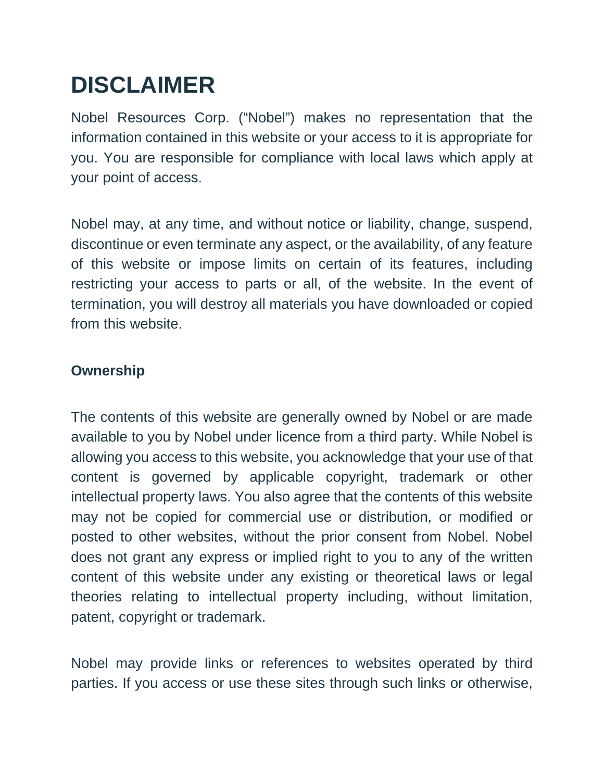# **DISCLAIMER**

Nobel Resources Corp. ("Nobel") makes no representation that the information contained in this website or your access to it is appropriate for you. You are responsible for compliance with local laws which apply at your point of access.

Nobel may, at any time, and without notice or liability, change, suspend, discontinue or even terminate any aspect, or the availability, of any feature of this website or impose limits on certain of its features, including restricting your access to parts or all, of the website. In the event of termination, you will destroy all materials you have downloaded or copied from this website.

### **Ownership**

The contents of this website are generally owned by Nobel or are made available to you by Nobel under licence from a third party. While Nobel is allowing you access to this website, you acknowledge that your use of that content is governed by applicable copyright, trademark or other intellectual property laws. You also agree that the contents of this website may not be copied for commercial use or distribution, or modified or posted to other websites, without the prior consent from Nobel. Nobel does not grant any express or implied right to you to any of the written content of this website under any existing or theoretical laws or legal theories relating to intellectual property including, without limitation, patent, copyright or trademark.

Nobel may provide links or references to websites operated by third parties. If you access or use these sites through such links or otherwise,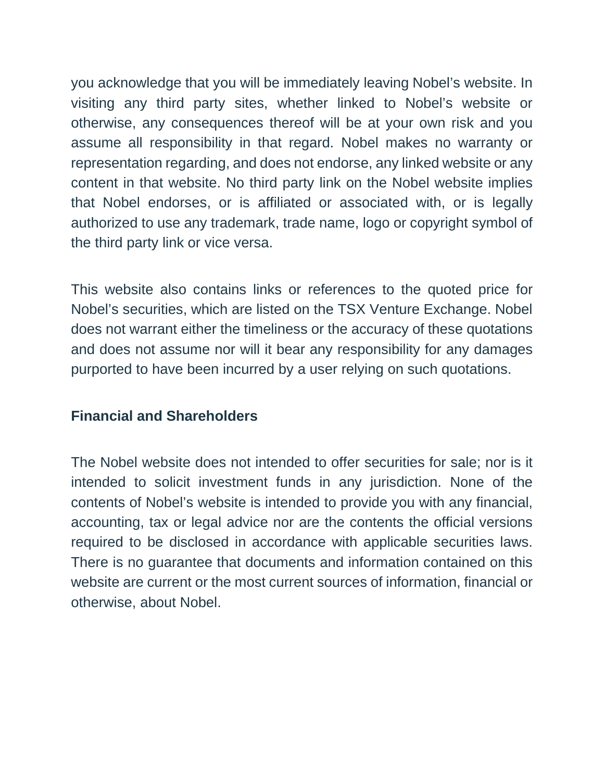you acknowledge that you will be immediately leaving Nobel's website. In visiting any third party sites, whether linked to Nobel's website or otherwise, any consequences thereof will be at your own risk and you assume all responsibility in that regard. Nobel makes no warranty or representation regarding, and does not endorse, any linked website or any content in that website. No third party link on the Nobel website implies that Nobel endorses, or is affiliated or associated with, or is legally authorized to use any trademark, trade name, logo or copyright symbol of the third party link or vice versa.

This website also contains links or references to the quoted price for Nobel's securities, which are listed on the TSX Venture Exchange. Nobel does not warrant either the timeliness or the accuracy of these quotations and does not assume nor will it bear any responsibility for any damages purported to have been incurred by a user relying on such quotations.

### **Financial and Shareholders**

The Nobel website does not intended to offer securities for sale; nor is it intended to solicit investment funds in any jurisdiction. None of the contents of Nobel's website is intended to provide you with any financial, accounting, tax or legal advice nor are the contents the official versions required to be disclosed in accordance with applicable securities laws. There is no guarantee that documents and information contained on this website are current or the most current sources of information, financial or otherwise, about Nobel.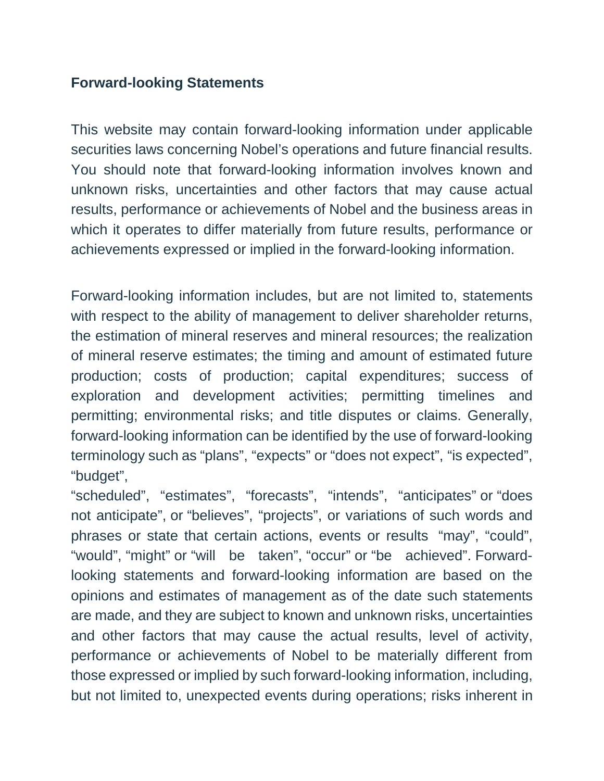### **Forward-looking Statements**

This website may contain forward-looking information under applicable securities laws concerning Nobel's operations and future financial results. You should note that forward-looking information involves known and unknown risks, uncertainties and other factors that may cause actual results, performance or achievements of Nobel and the business areas in which it operates to differ materially from future results, performance or achievements expressed or implied in the forward-looking information.

Forward-looking information includes, but are not limited to, statements with respect to the ability of management to deliver shareholder returns, the estimation of mineral reserves and mineral resources; the realization of mineral reserve estimates; the timing and amount of estimated future production; costs of production; capital expenditures; success of exploration and development activities; permitting timelines and permitting; environmental risks; and title disputes or claims. Generally, forward-looking information can be identified by the use of forward-looking terminology such as "plans", "expects" or "does not expect", "is expected", "budget",

"scheduled", "estimates", "forecasts", "intends", "anticipates" or "does not anticipate", or "believes", "projects", or variations of such words and phrases or state that certain actions, events or results "may", "could", "would", "might" or "will be taken", "occur" or "be achieved". Forwardlooking statements and forward-looking information are based on the opinions and estimates of management as of the date such statements are made, and they are subject to known and unknown risks, uncertainties and other factors that may cause the actual results, level of activity, performance or achievements of Nobel to be materially different from those expressed or implied by such forward-looking information, including, but not limited to, unexpected events during operations; risks inherent in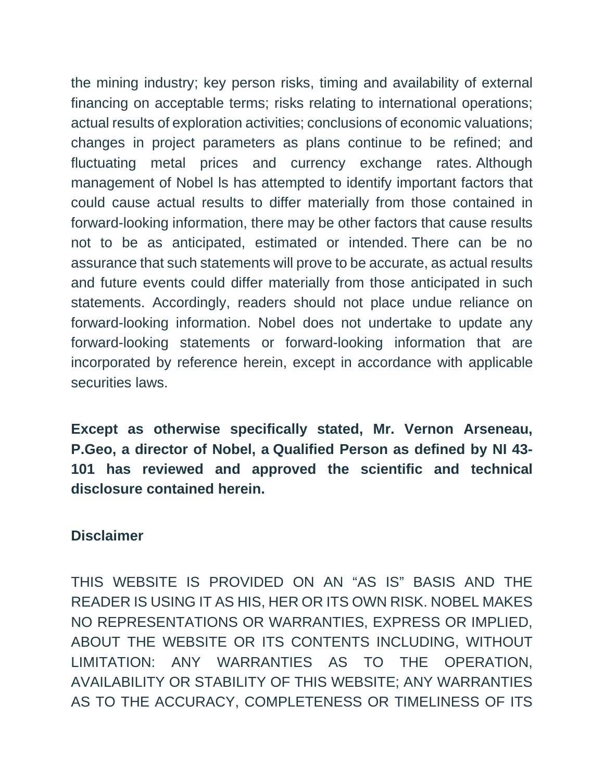the mining industry; key person risks, timing and availability of external financing on acceptable terms; risks relating to international operations; actual results of exploration activities; conclusions of economic valuations; changes in project parameters as plans continue to be refined; and fluctuating metal prices and currency exchange rates. Although management of Nobel ls has attempted to identify important factors that could cause actual results to differ materially from those contained in forward-looking information, there may be other factors that cause results not to be as anticipated, estimated or intended. There can be no assurance that such statements will prove to be accurate, as actual results and future events could differ materially from those anticipated in such statements. Accordingly, readers should not place undue reliance on forward-looking information. Nobel does not undertake to update any forward-looking statements or forward-looking information that are incorporated by reference herein, except in accordance with applicable securities laws.

**Except as otherwise specifically stated, Mr. Vernon Arseneau, P.Geo, a director of Nobel, a Qualified Person as defined by NI 43- 101 has reviewed and approved the scientific and technical disclosure contained herein.**

#### **Disclaimer**

THIS WEBSITE IS PROVIDED ON AN "AS IS" BASIS AND THE READER IS USING IT AS HIS, HER OR ITS OWN RISK. NOBEL MAKES NO REPRESENTATIONS OR WARRANTIES, EXPRESS OR IMPLIED, ABOUT THE WEBSITE OR ITS CONTENTS INCLUDING, WITHOUT LIMITATION: ANY WARRANTIES AS TO THE OPERATION, AVAILABILITY OR STABILITY OF THIS WEBSITE; ANY WARRANTIES AS TO THE ACCURACY, COMPLETENESS OR TIMELINESS OF ITS